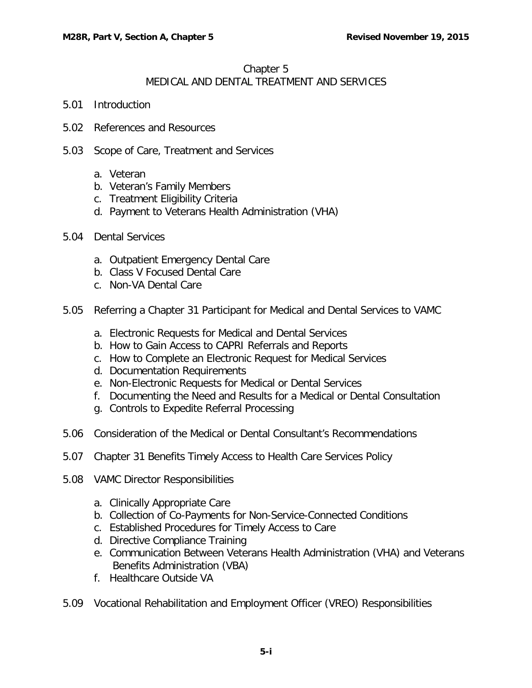# Chapter 5 MEDICAL AND DENTAL TREATMENT AND SERVICES

- 5.01 [Introduction](#page-2-0)
- 5.02 [References and Resources](#page-2-1)
- 5.03 [Scope of Care, Treatment and Services](#page-3-0)
	- a. [Veteran](#page-3-1)
	- b. [Veteran's Family Members](#page-6-0)
	- c. [Treatment Eligibility Criteria](#page-6-1)
	- d. [Payment to Veterans Health Administration \(VHA\)](#page-7-0)
- 5.04 [Dental Services](#page-7-1)
	- a. [Outpatient Emergency Dental Care](#page-7-2)
	- b. [Class V Focused Dental Care](#page-8-0)
	- c. [Non-VA Dental Care](#page-9-0)
- 5.05 [Referring a Chapter 31 Participant for Medical and Dental Services to VAMC](#page-9-1)
	- a. [Electronic Requests for Medical and Dental Services](#page-9-2)
	- b. [How to Gain Access to CAPRI Referrals and Reports](#page-9-3)
	- c. [How to Complete an Electronic Request for Medical Services](#page-10-0)
	- d. [Documentation Requirements](#page-11-0)
	- e. [Non-Electronic Requests for Medical or Dental Services](#page-12-0)
	- f. Documenting the Need and Results for a Medical or Dental Consultation
	- g. [Controls to Expedite Referral Processing](#page-12-1)
- 5.06 [Consideration of the Medical or Dental Consultant's Recommendations](#page-13-0)
- 5.07 [Chapter 31 Benefits Timely Access to Health Care Services Policy](#page-13-1)
- 5.08 [VAMC Director Responsibilities](#page-13-2)
	- a. [Clinically Appropriate Care](#page-13-3)
	- b. [Collection of Co-Payments for Non-Service-Connected Conditions](#page-13-4)
	- c. [Established Procedures for Timely Access to Care](#page-13-5)
	- d. [Directive Compliance Training](#page-14-0)
	- e. [Communication Between Veterans Health Administration \(VHA\) and Veterans](#page-14-1)  [Benefits Administration \(VBA\)](#page-14-1)
	- f. Healthcare Outside VA
- 5.09 [Vocational Rehabilitation and Employment Officer \(VREO\) Responsibilities](#page-15-0)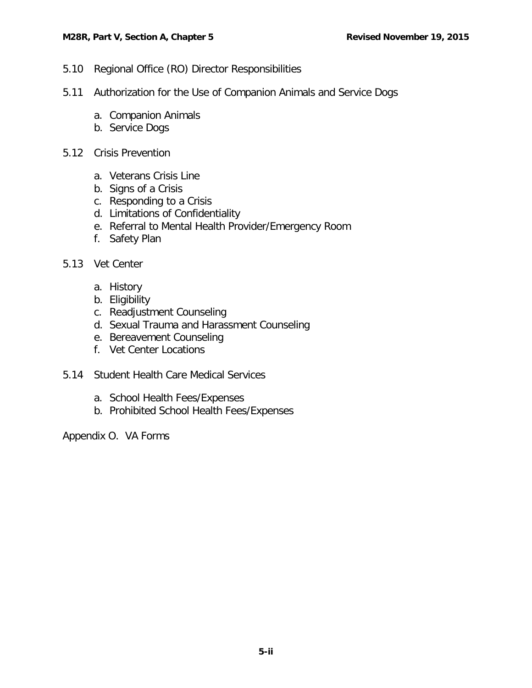- 5.10 [Regional Office \(RO\) Director Responsibilities](#page-15-1)
- 5.11 [Authorization for the Use of Companion Animals and Service Dogs](#page-15-2)
	- a. [Companion Animals](#page-15-3)
	- b. [Service Dogs](#page-16-0)
- 5.12 [Crisis Prevention](#page-17-0)
	- a. [Veterans Crisis Line](#page-17-1)
	- b. [Signs of a Crisis](#page-17-2)
	- c. [Responding to a Crisis](#page-19-0)
	- d. [Limitations of Confidentiality](#page-19-1)
	- e. [Referral to Mental Health Provider/Emergency Room](#page-19-2)
	- f. Safety Plan
- 5.13 [Vet Center](#page-23-0)
	- a. [History](#page-23-1)
	- b. [Eligibility](#page-23-2)
	- c. [Readjustment Counseling](#page-25-0)
	- d. [Sexual Trauma and Harassment Counseling](#page-25-1)
	- e. [Bereavement Counseling](#page-25-2)
	- f. Vet Center Locations
- [5.14 Student Health Care Medical Services](#page-26-0)
	- a. [School Health Fees/Expenses](#page-26-1)
	- b. [Prohibited School Health Fees/Expenses](#page-26-2)

Appendix O. VA Forms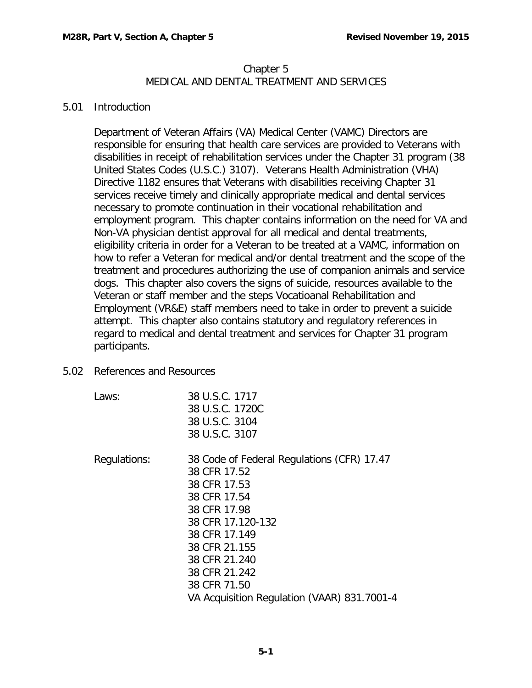# Chapter 5 MEDICAL AND DENTAL TREATMENT AND SERVICES

#### <span id="page-2-0"></span>5.01 Introduction

Department of Veteran Affairs (VA) Medical Center (VAMC) Directors are responsible for ensuring that health care services are provided to Veterans with disabilities in receipt of rehabilitation services under the Chapter 31 program (38 United States Codes (U.S.C.) 3107). Veterans Health Administration (VHA) Directive 1182 ensures that Veterans with disabilities receiving Chapter 31 services receive timely and clinically appropriate medical and dental services necessary to promote continuation in their vocational rehabilitation and employment program. This chapter contains information on the need for VA and Non-VA physician dentist approval for all medical and dental treatments, eligibility criteria in order for a Veteran to be treated at a VAMC, information on how to refer a Veteran for medical and/or dental treatment and the scope of the treatment and procedures authorizing the use of companion animals and service dogs. This chapter also covers the signs of suicide, resources available to the Veteran or staff member and the steps Vocatioanal Rehabilitation and Employment (VR&E) staff members need to take in order to prevent a suicide attempt. This chapter also contains statutory and regulatory references in regard to medical and dental treatment and services for Chapter 31 program participants.

- <span id="page-2-1"></span>5.02 References and Resources
	- Laws: 38 U.S.C. 1717

38 U.S.C. 3107 Regulations: 38 Code of Federal Regulations (CFR) 17.47 38 CFR 17.52 38 CFR 17.53 38 CFR 17.54 38 CFR 17.98 38 CFR 17.120-132 38 CFR 17.149 38 CFR 21.155 38 CFR 21.240 38 CFR 21.242 38 CFR 71.50 VA Acquisition Regulation (VAAR) 831.7001-4

38 U.S.C. 1720C 38 U.S.C. 3104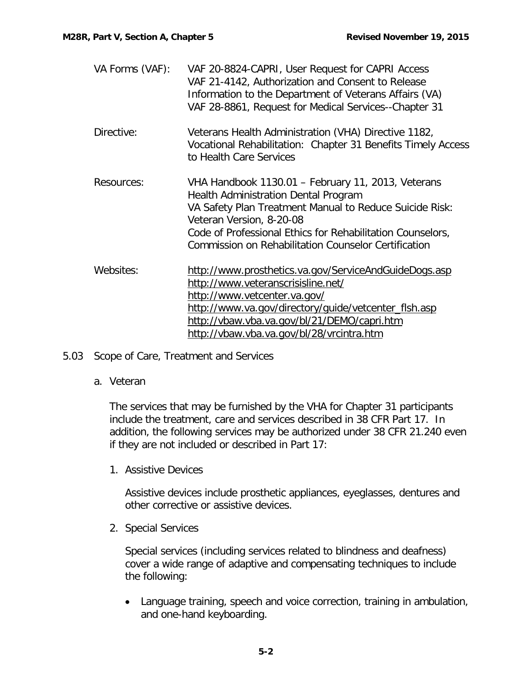| VA Forms (VAF): | VAF 20-8824-CAPRI, User Request for CAPRI Access<br>VAF 21-4142, Authorization and Consent to Release<br>Information to the Department of Veterans Affairs (VA)<br>VAF 28-8861, Request for Medical Services--Chapter 31                                                                                |
|-----------------|---------------------------------------------------------------------------------------------------------------------------------------------------------------------------------------------------------------------------------------------------------------------------------------------------------|
| Directive:      | Veterans Health Administration (VHA) Directive 1182,<br>Vocational Rehabilitation: Chapter 31 Benefits Timely Access<br>to Health Care Services                                                                                                                                                         |
| Resources:      | VHA Handbook 1130.01 - February 11, 2013, Veterans<br>Health Administration Dental Program<br>VA Safety Plan Treatment Manual to Reduce Suicide Risk:<br>Veteran Version, 8-20-08<br>Code of Professional Ethics for Rehabilitation Counselors,<br>Commission on Rehabilitation Counselor Certification |
| Websites:       | http://www.prosthetics.va.gov/ServiceAndGuideDogs.asp<br>http://www.veteranscrisisline.net/<br>http://www.vetcenter.va.gov/<br>http://www.va.gov/directory/guide/vetcenter_flsh.asp<br>http://vbaw.vba.va.gov/bl/21/DEMO/capri.htm<br>http://vbaw.vba.va.gov/bl/28/vrcintra.htm                         |

<span id="page-3-1"></span><span id="page-3-0"></span>5.03 Scope of Care, Treatment and Services

## a. Veteran

The services that may be furnished by the VHA for Chapter 31 participants include the treatment, care and services described in 38 CFR Part 17. In addition, the following services may be authorized under 38 CFR 21.240 even if they are not included or described in Part 17:

1. Assistive Devices

Assistive devices include prosthetic appliances, eyeglasses, dentures and other corrective or assistive devices.

2. Special Services

Special services (including services related to blindness and deafness) cover a wide range of adaptive and compensating techniques to include the following:

• Language training, speech and voice correction, training in ambulation, and one-hand keyboarding.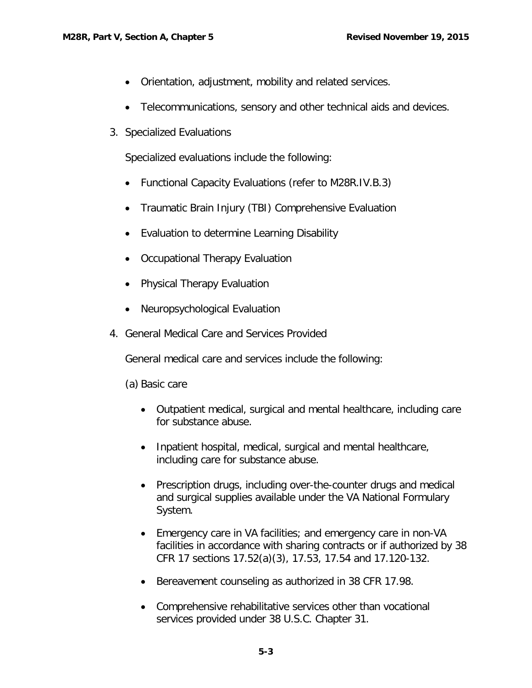- Orientation, adjustment, mobility and related services.
- Telecommunications, sensory and other technical aids and devices.
- 3. Specialized Evaluations

Specialized evaluations include the following:

- Functional Capacity Evaluations (refer to M28R.IV.B.3)
- Traumatic Brain Injury (TBI) Comprehensive Evaluation
- Evaluation to determine Learning Disability
- Occupational Therapy Evaluation
- Physical Therapy Evaluation
- Neuropsychological Evaluation
- 4. General Medical Care and Services Provided

General medical care and services include the following:

(a) Basic care

- Outpatient medical, surgical and mental healthcare, including care for substance abuse.
- Inpatient hospital, medical, surgical and mental healthcare, including care for substance abuse.
- Prescription drugs, including over-the-counter drugs and medical and surgical supplies available under the VA National Formulary System.
- Emergency care in VA facilities; and emergency care in non-VA facilities in accordance with sharing contracts or if authorized by 38 CFR 17 sections 17.52(a)(3), 17.53, 17.54 and 17.120-132.
- Bereavement counseling as authorized in 38 CFR 17.98.
- Comprehensive rehabilitative services other than vocational services provided under 38 U.S.C. Chapter 31.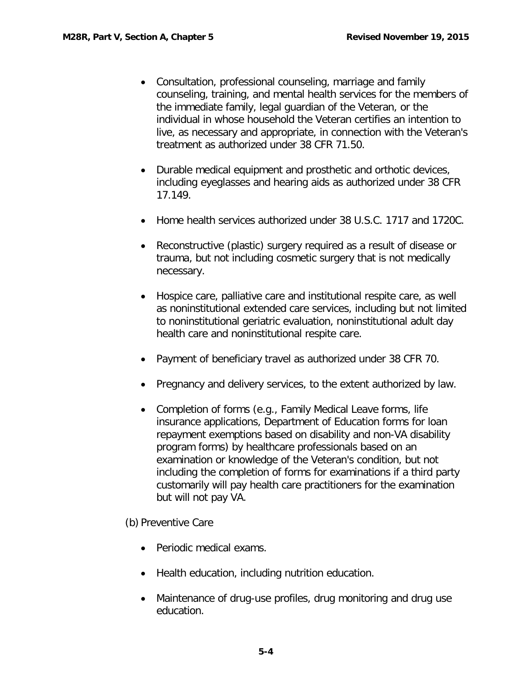- Consultation, professional counseling, marriage and family counseling, training, and mental health services for the members of the immediate family, legal guardian of the Veteran, or the individual in whose household the Veteran certifies an intention to live, as necessary and appropriate, in connection with the Veteran's treatment as authorized under 38 CFR 71.50.
- Durable medical equipment and prosthetic and orthotic devices, including eyeglasses and hearing aids as authorized under 38 CFR 17.149.
- Home health services authorized under 38 U.S.C. 1717 and 1720C.
- Reconstructive (plastic) surgery required as a result of disease or trauma, but not including cosmetic surgery that is not medically necessary.
- Hospice care, palliative care and institutional respite care, as well as noninstitutional extended care services, including but not limited to noninstitutional geriatric evaluation, noninstitutional adult day health care and noninstitutional respite care.
- Payment of beneficiary travel as authorized under 38 CFR 70.
- Pregnancy and delivery services, to the extent authorized by law.
- Completion of forms (e.g., Family Medical Leave forms, life insurance applications, Department of Education forms for loan repayment exemptions based on disability and non-VA disability program forms) by healthcare professionals based on an examination or knowledge of the Veteran's condition, but not including the completion of forms for examinations if a third party customarily will pay health care practitioners for the examination but will not pay VA.

(b) Preventive Care

- Periodic medical exams.
- Health education, including nutrition education.
- Maintenance of drug-use profiles, drug monitoring and drug use education.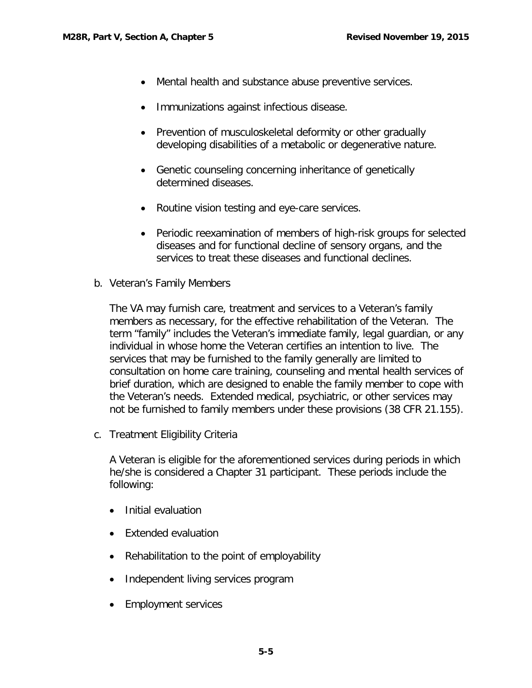- Mental health and substance abuse preventive services.
- Immunizations against infectious disease.
- Prevention of musculoskeletal deformity or other gradually developing disabilities of a metabolic or degenerative nature.
- Genetic counseling concerning inheritance of genetically determined diseases.
- Routine vision testing and eye-care services.
- Periodic reexamination of members of high-risk groups for selected diseases and for functional decline of sensory organs, and the services to treat these diseases and functional declines.
- <span id="page-6-0"></span>b. Veteran's Family Members

The VA may furnish care, treatment and services to a Veteran's family members as necessary, for the effective rehabilitation of the Veteran. The term "family" includes the Veteran's immediate family, legal guardian, or any individual in whose home the Veteran certifies an intention to live. The services that may be furnished to the family generally are limited to consultation on home care training, counseling and mental health services of brief duration, which are designed to enable the family member to cope with the Veteran's needs. Extended medical, psychiatric, or other services may not be furnished to family members under these provisions (38 CFR 21.155).

<span id="page-6-1"></span>c. Treatment Eligibility Criteria

A Veteran is eligible for the aforementioned services during periods in which he/she is considered a Chapter 31 participant. These periods include the following:

- Initial evaluation
- Extended evaluation
- Rehabilitation to the point of employability
- Independent living services program
- Employment services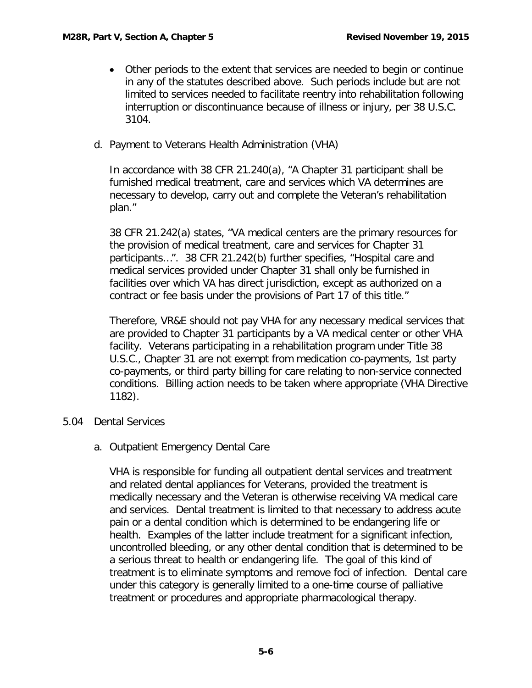- Other periods to the extent that services are needed to begin or continue in any of the statutes described above. Such periods include but are not limited to services needed to facilitate reentry into rehabilitation following interruption or discontinuance because of illness or injury, per 38 U.S.C. 3104.
- <span id="page-7-0"></span>d. Payment to Veterans Health Administration (VHA)

In accordance with 38 CFR 21.240(a), "A Chapter 31 participant shall be furnished medical treatment, care and services which VA determines are necessary to develop, carry out and complete the Veteran's rehabilitation plan."

38 CFR 21.242(a) states, "VA medical centers are the primary resources for the provision of medical treatment, care and services for Chapter 31 participants…". 38 CFR 21.242(b) further specifies, "Hospital care and medical services provided under Chapter 31 shall only be furnished in facilities over which VA has direct jurisdiction, except as authorized on a contract or fee basis under the provisions of Part 17 of this title."

Therefore, VR&E should not pay VHA for any necessary medical services that are provided to Chapter 31 participants by a VA medical center or other VHA facility. Veterans participating in a rehabilitation program under Title 38 U.S.C., Chapter 31 are not exempt from medication co-payments, 1st party co-payments, or third party billing for care relating to non-service connected conditions. Billing action needs to be taken where appropriate (VHA Directive 1182).

- <span id="page-7-2"></span><span id="page-7-1"></span>5.04 Dental Services
	- a. Outpatient Emergency Dental Care

VHA is responsible for funding all outpatient dental services and treatment and related dental appliances for Veterans, provided the treatment is medically necessary and the Veteran is otherwise receiving VA medical care and services. Dental treatment is limited to that necessary to address acute pain or a dental condition which is determined to be endangering life or health. Examples of the latter include treatment for a significant infection, uncontrolled bleeding, or any other dental condition that is determined to be a serious threat to health or endangering life. The goal of this kind of treatment is to eliminate symptoms and remove foci of infection. Dental care under this category is generally limited to a one-time course of palliative treatment or procedures and appropriate pharmacological therapy.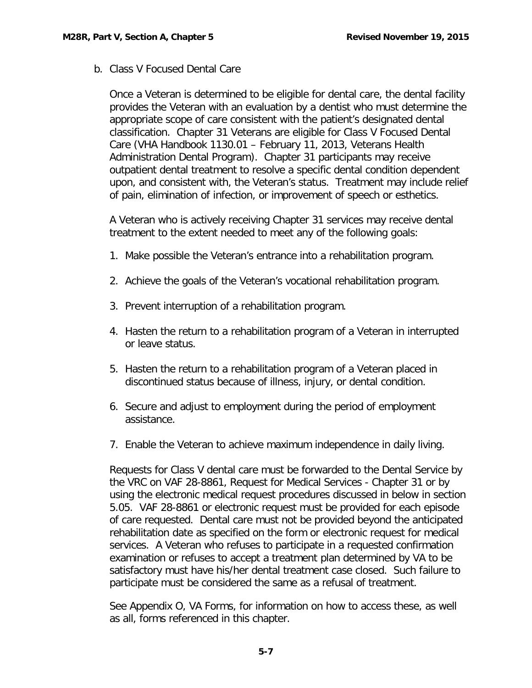<span id="page-8-0"></span>b. Class V Focused Dental Care

Once a Veteran is determined to be eligible for dental care, the dental facility provides the Veteran with an evaluation by a dentist who must determine the appropriate scope of care consistent with the patient's designated dental classification. Chapter 31 Veterans are eligible for Class V Focused Dental Care (VHA Handbook 1130.01 – February 11, 2013, Veterans Health Administration Dental Program). Chapter 31 participants may receive outpatient dental treatment to resolve a specific dental condition dependent upon, and consistent with, the Veteran's status. Treatment may include relief of pain, elimination of infection, or improvement of speech or esthetics.

A Veteran who is actively receiving Chapter 31 services may receive dental treatment to the extent needed to meet any of the following goals:

- 1. Make possible the Veteran's entrance into a rehabilitation program.
- 2. Achieve the goals of the Veteran's vocational rehabilitation program.
- 3. Prevent interruption of a rehabilitation program.
- 4. Hasten the return to a rehabilitation program of a Veteran in interrupted or leave status.
- 5. Hasten the return to a rehabilitation program of a Veteran placed in discontinued status because of illness, injury, or dental condition.
- 6. Secure and adjust to employment during the period of employment assistance.
- 7. Enable the Veteran to achieve maximum independence in daily living.

Requests for Class V dental care must be forwarded to the Dental Service by the VRC on VAF 28-8861, Request for Medical Services - Chapter 31 or by using the electronic medical request procedures discussed in below in section 5.05. VAF 28-8861 or electronic request must be provided for each episode of care requested. Dental care must not be provided beyond the anticipated rehabilitation date as specified on the form or electronic request for medical services. A Veteran who refuses to participate in a requested confirmation examination or refuses to accept a treatment plan determined by VA to be satisfactory must have his/her dental treatment case closed. Such failure to participate must be considered the same as a refusal of treatment.

See Appendix O, VA Forms, for information on how to access these, as well as all, forms referenced in this chapter.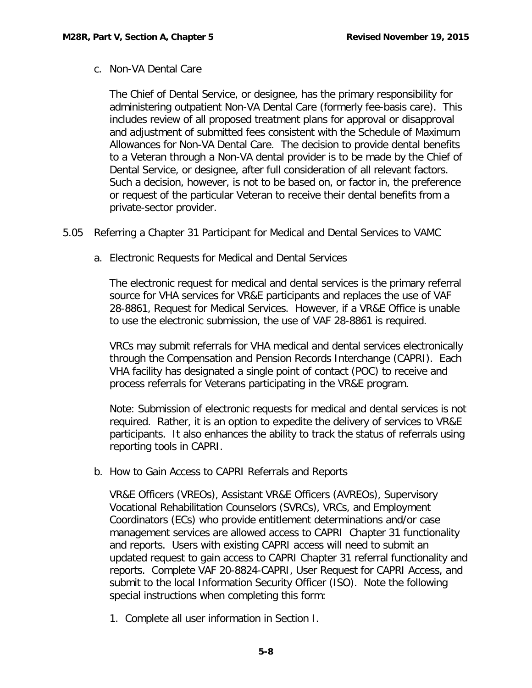<span id="page-9-0"></span>c. Non-VA Dental Care

The Chief of Dental Service, or designee, has the primary responsibility for administering outpatient Non-VA Dental Care (formerly fee-basis care). This includes review of all proposed treatment plans for approval or disapproval and adjustment of submitted fees consistent with the Schedule of Maximum Allowances for Non-VA Dental Care. The decision to provide dental benefits to a Veteran through a Non-VA dental provider is to be made by the Chief of Dental Service, or designee, after full consideration of all relevant factors. Such a decision, however, is not to be based on, or factor in, the preference or request of the particular Veteran to receive their dental benefits from a private-sector provider.

- <span id="page-9-2"></span><span id="page-9-1"></span>5.05 Referring a Chapter 31 Participant for Medical and Dental Services to VAMC
	- a. Electronic Requests for Medical and Dental Services

The electronic request for medical and dental services is the primary referral source for VHA services for VR&E participants and replaces the use of VAF 28-8861, Request for Medical Services. However, if a VR&E Office is unable to use the electronic submission, the use of VAF 28-8861 is required.

VRCs may submit referrals for VHA medical and dental services electronically through the Compensation and Pension Records Interchange (CAPRI). Each VHA facility has designated a single point of contact (POC) to receive and process referrals for Veterans participating in the VR&E program.

Note: Submission of electronic requests for medical and dental services is not required. Rather, it is an option to expedite the delivery of services to VR&E participants. It also enhances the ability to track the status of referrals using reporting tools in CAPRI.

<span id="page-9-3"></span>b. How to Gain Access to CAPRI Referrals and Reports

VR&E Officers (VREOs), Assistant VR&E Officers (AVREOs), Supervisory Vocational Rehabilitation Counselors (SVRCs), VRCs, and Employment Coordinators (ECs) who provide entitlement determinations and/or case management services are allowed access to CAPRI Chapter 31 functionality and reports. Users with existing CAPRI access will need to submit an updated request to gain access to CAPRI Chapter 31 referral functionality and reports. Complete VAF 20-8824-CAPRI, User Request for CAPRI Access, and submit to the local Information Security Officer (ISO). Note the following special instructions when completing this form:

1. Complete all user information in Section I.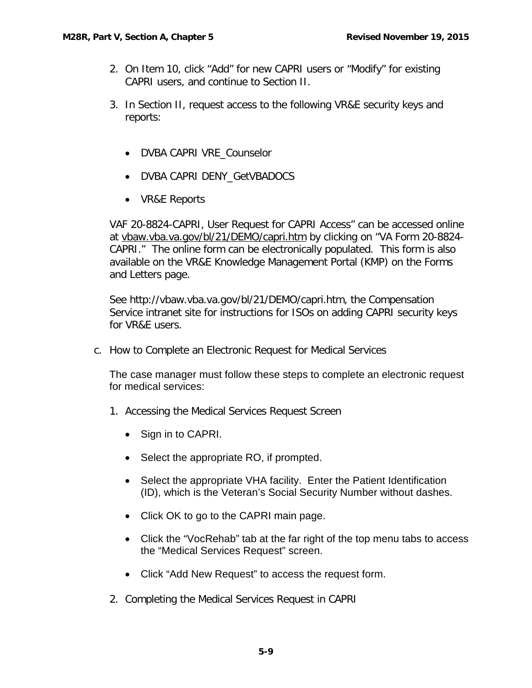- 2. On Item 10, click "Add" for new CAPRI users or "Modify" for existing CAPRI users, and continue to Section II.
- 3. In Section II, request access to the following VR&E security keys and reports:
	- DVBA CAPRI VRE\_Counselor
	- DVBA CAPRI DENY\_GetVBADOCS
	- VR&E Reports

VAF 20-8824-CAPRI, User Request for CAPRI Access" can be accessed online at [vbaw.vba.va.gov/bl/21/DEMO/capri.htm](http://vbaw.vba.va.gov/bl/21/DEMO/capri.htm) by clicking on "VA Form 20-8824- CAPRI." The online form can be electronically populated. This form is also available on the VR&E Knowledge Management Portal (KMP) on the Forms and Letters page.

See http://vbaw.vba.va.gov/bl/21/DEMO/capri.htm, the Compensation Service intranet site for instructions for ISOs on adding CAPRI security keys for VR&E users.

<span id="page-10-0"></span>c. How to Complete an Electronic Request for Medical Services

The case manager must follow these steps to complete an electronic request for medical services:

- 1. Accessing the Medical Services Request Screen
	- Sign in to CAPRI.
	- Select the appropriate RO, if prompted.
	- Select the appropriate VHA facility. Enter the Patient Identification (ID), which is the Veteran's Social Security Number without dashes.
	- Click OK to go to the CAPRI main page.
	- Click the "VocRehab" tab at the far right of the top menu tabs to access the "Medical Services Request" screen.
	- Click "Add New Request" to access the request form.
- 2. Completing the Medical Services Request in CAPRI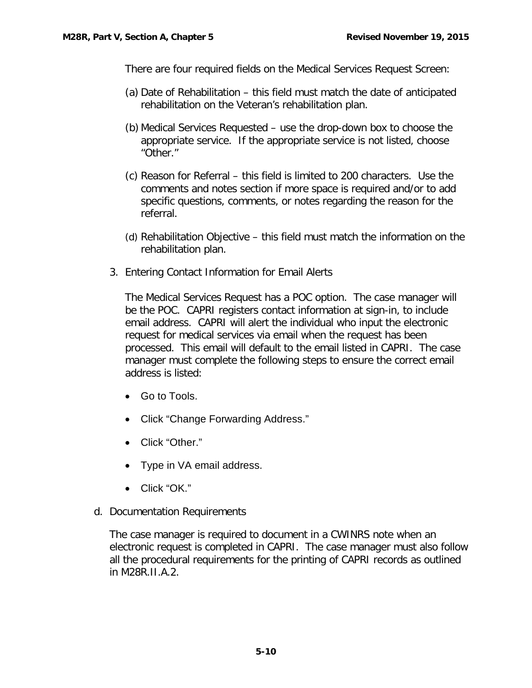There are four required fields on the Medical Services Request Screen:

- (a) Date of Rehabilitation this field must match the date of anticipated rehabilitation on the Veteran's rehabilitation plan.
- (b) Medical Services Requested use the drop-down box to choose the appropriate service. If the appropriate service is not listed, choose "Other."
- (c) Reason for Referral this field is limited to 200 characters. Use the comments and notes section if more space is required and/or to add specific questions, comments, or notes regarding the reason for the referral.
- (d) Rehabilitation Objective this field must match the information on the rehabilitation plan.
- 3. Entering Contact Information for Email Alerts

The Medical Services Request has a POC option. The case manager will be the POC. CAPRI registers contact information at sign-in, to include email address. CAPRI will alert the individual who input the electronic request for medical services via email when the request has been processed. This email will default to the email listed in CAPRI. The case manager must complete the following steps to ensure the correct email address is listed:

- Go to Tools.
- Click "Change Forwarding Address."
- Click "Other."
- Type in VA email address.
- Click "OK."
- <span id="page-11-0"></span>d. Documentation Requirements

The case manager is required to document in a CWINRS note when an electronic request is completed in CAPRI. The case manager must also follow all the procedural requirements for the printing of CAPRI records as outlined in M28R.II.A.2.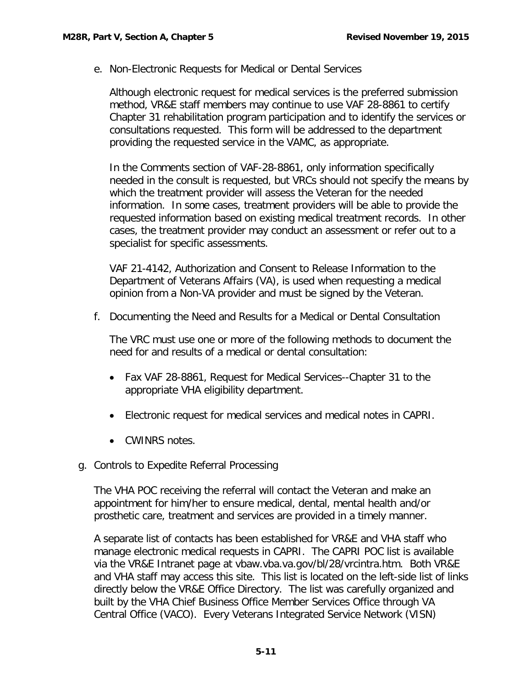<span id="page-12-0"></span>e. Non-Electronic Requests for Medical or Dental Services

Although electronic request for medical services is the preferred submission method, VR&E staff members may continue to use VAF 28-8861 to certify Chapter 31 rehabilitation program participation and to identify the services or consultations requested. This form will be addressed to the department providing the requested service in the VAMC, as appropriate.

In the Comments section of VAF-28-8861, only information specifically needed in the consult is requested, but VRCs should not specify the means by which the treatment provider will assess the Veteran for the needed information. In some cases, treatment providers will be able to provide the requested information based on existing medical treatment records. In other cases, the treatment provider may conduct an assessment or refer out to a specialist for specific assessments.

VAF 21-4142, Authorization and Consent to Release Information to the Department of Veterans Affairs (VA), is used when requesting a medical opinion from a Non-VA provider and must be signed by the Veteran.

f. Documenting the Need and Results for a Medical or Dental Consultation

The VRC must use one or more of the following methods to document the need for and results of a medical or dental consultation:

- Fax VAF 28-8861, Request for Medical Services--Chapter 31 to the appropriate VHA eligibility department.
- Electronic request for medical services and medical notes in CAPRI.
- CWINRS notes.
- <span id="page-12-1"></span>g. Controls to Expedite Referral Processing

The VHA POC receiving the referral will contact the Veteran and make an appointment for him/her to ensure medical, dental, mental health and/or prosthetic care, treatment and services are provided in a timely manner.

A separate list of contacts has been established for VR&E and VHA staff who manage electronic medical requests in CAPRI. The CAPRI POC list is available via the VR&E Intranet page at vbaw.vba.va.gov/bl/28/vrcintra.htm. Both VR&E and VHA staff may access this site. This list is located on the left-side list of links directly below the VR&E Office Directory. The list was carefully organized and built by the VHA Chief Business Office Member Services Office through VA Central Office (VACO). Every Veterans Integrated Service Network (VISN)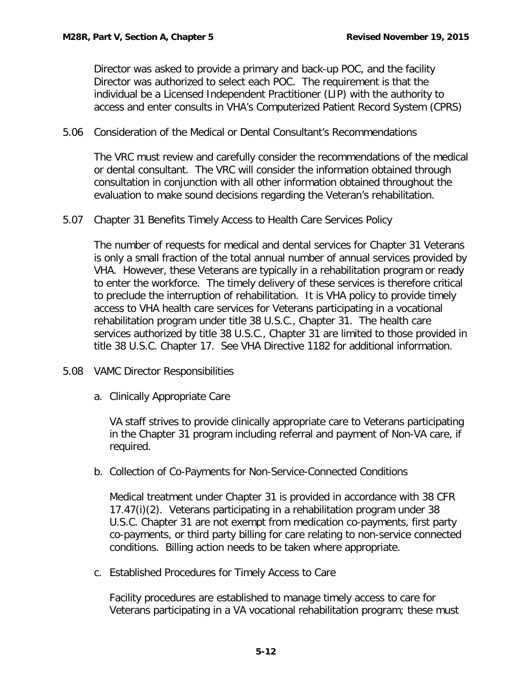Director was asked to provide a primary and back-up POC, and the facility Director was authorized to select each POC. The requirement is that the individual be a Licensed Independent Practitioner (LIP) with the authority to access and enter consults in VHA's Computerized Patient Record System (CPRS)

<span id="page-13-0"></span>5.06 Consideration of the Medical or Dental Consultant's Recommendations

The VRC must review and carefully consider the recommendations of the medical or dental consultant. The VRC will consider the information obtained through consultation in conjunction with all other information obtained throughout the evaluation to make sound decisions regarding the Veteran's rehabilitation.

<span id="page-13-1"></span>5.07 Chapter 31 Benefits Timely Access to Health Care Services Policy

The number of requests for medical and dental services for Chapter 31 Veterans is only a small fraction of the total annual number of annual services provided by VHA. However, these Veterans are typically in a rehabilitation program or ready to enter the workforce. The timely delivery of these services is therefore critical to preclude the interruption of rehabilitation. It is VHA policy to provide timely access to VHA health care services for Veterans participating in a vocational rehabilitation program under title 38 U.S.C., Chapter 31. The health care services authorized by title 38 U.S.C., Chapter 31 are limited to those provided in title 38 U.S.C. Chapter 17. See VHA Directive 1182 for additional information.

- <span id="page-13-3"></span><span id="page-13-2"></span>5.08 VAMC Director Responsibilities
	- a. Clinically Appropriate Care

VA staff strives to provide clinically appropriate care to Veterans participating in the Chapter 31 program including referral and payment of Non-VA care, if required.

<span id="page-13-4"></span>b. Collection of Co-Payments for Non-Service-Connected Conditions

Medical treatment under Chapter 31 is provided in accordance with 38 CFR 17.47(i)(2). Veterans participating in a rehabilitation program under 38 U.S.C. Chapter 31 are not exempt from medication co-payments, first party co-payments, or third party billing for care relating to non-service connected conditions. Billing action needs to be taken where appropriate.

<span id="page-13-5"></span>c. Established Procedures for Timely Access to Care

Facility procedures are established to manage timely access to care for Veterans participating in a VA vocational rehabilitation program; these must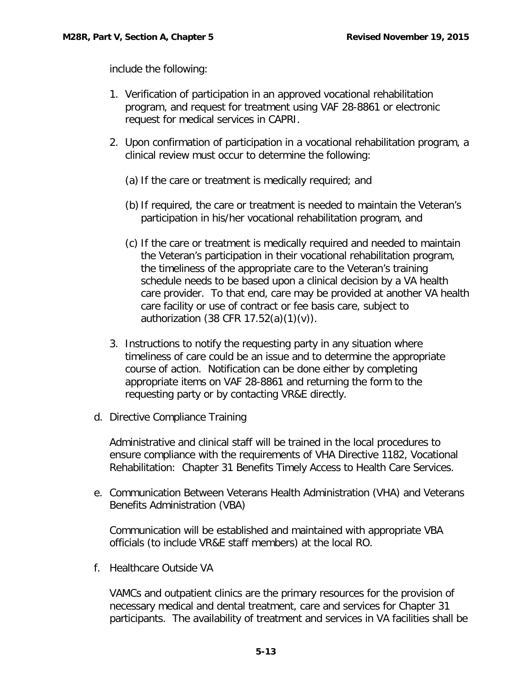include the following:

- 1. Verification of participation in an approved vocational rehabilitation program, and request for treatment using VAF 28-8861 or electronic request for medical services in CAPRI.
- 2. Upon confirmation of participation in a vocational rehabilitation program, a clinical review must occur to determine the following:
	- (a) If the care or treatment is medically required; and
	- (b)If required, the care or treatment is needed to maintain the Veteran's participation in his/her vocational rehabilitation program, and
	- (c) If the care or treatment is medically required and needed to maintain the Veteran's participation in their vocational rehabilitation program, the timeliness of the appropriate care to the Veteran's training schedule needs to be based upon a clinical decision by a VA health care provider. To that end, care may be provided at another VA health care facility or use of contract or fee basis care, subject to authorization (38 CFR 17.52(a)(1)(v)).
- 3. Instructions to notify the requesting party in any situation where timeliness of care could be an issue and to determine the appropriate course of action. Notification can be done either by completing appropriate items on VAF 28-8861 and returning the form to the requesting party or by contacting VR&E directly.
- <span id="page-14-0"></span>d. Directive Compliance Training

Administrative and clinical staff will be trained in the local procedures to ensure compliance with the requirements of VHA Directive 1182, Vocational Rehabilitation: Chapter 31 Benefits Timely Access to Health Care Services.

<span id="page-14-1"></span>e. Communication Between Veterans Health Administration (VHA) and Veterans Benefits Administration (VBA)

Communication will be established and maintained with appropriate VBA officials (to include VR&E staff members) at the local RO.

f. Healthcare Outside VA

VAMCs and outpatient clinics are the primary resources for the provision of necessary medical and dental treatment, care and services for Chapter 31 participants. The availability of treatment and services in VA facilities shall be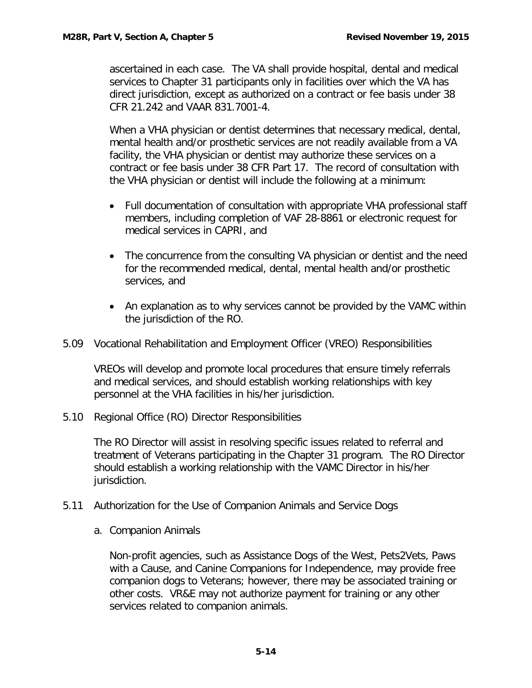ascertained in each case. The VA shall provide hospital, dental and medical services to Chapter 31 participants only in facilities over which the VA has direct jurisdiction, except as authorized on a contract or fee basis under 38 CFR 21.242 and VAAR 831.7001-4.

When a VHA physician or dentist determines that necessary medical, dental, mental health and/or prosthetic services are not readily available from a VA facility, the VHA physician or dentist may authorize these services on a contract or fee basis under 38 CFR Part 17. The record of consultation with the VHA physician or dentist will include the following at a minimum:

- Full documentation of consultation with appropriate VHA professional staff members, including completion of VAF 28-8861 or electronic request for medical services in CAPRI, and
- The concurrence from the consulting VA physician or dentist and the need for the recommended medical, dental, mental health and/or prosthetic services, and
- An explanation as to why services cannot be provided by the VAMC within the jurisdiction of the RO.
- <span id="page-15-0"></span>5.09 Vocational Rehabilitation and Employment Officer (VREO) Responsibilities

VREOs will develop and promote local procedures that ensure timely referrals and medical services, and should establish working relationships with key personnel at the VHA facilities in his/her jurisdiction.

<span id="page-15-1"></span>5.10 Regional Office (RO) Director Responsibilities

The RO Director will assist in resolving specific issues related to referral and treatment of Veterans participating in the Chapter 31 program. The RO Director should establish a working relationship with the VAMC Director in his/her jurisdiction.

- <span id="page-15-3"></span><span id="page-15-2"></span>5.11 Authorization for the Use of Companion Animals and Service Dogs
	- a. Companion Animals

Non-profit agencies, such as Assistance Dogs of the West, Pets2Vets, Paws with a Cause, and Canine Companions for Independence, may provide free companion dogs to Veterans; however, there may be associated training or other costs. VR&E may not authorize payment for training or any other services related to companion animals.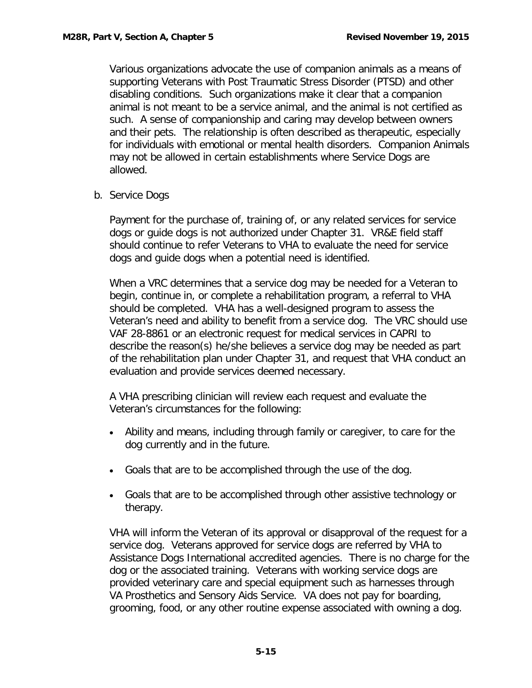Various organizations advocate the use of companion animals as a means of supporting Veterans with Post Traumatic Stress Disorder (PTSD) and other disabling conditions. Such organizations make it clear that a companion animal is not meant to be a service animal, and the animal is not certified as such. A sense of companionship and caring may develop between owners and their pets. The relationship is often described as therapeutic, especially for individuals with emotional or mental health disorders. Companion Animals may not be allowed in certain establishments where Service Dogs are allowed.

<span id="page-16-0"></span>b. Service Dogs

Payment for the purchase of, training of, or any related services for service dogs or guide dogs is not authorized under Chapter 31. VR&E field staff should continue to refer Veterans to VHA to evaluate the need for service dogs and guide dogs when a potential need is identified.

When a VRC determines that a service dog may be needed for a Veteran to begin, continue in, or complete a rehabilitation program, a referral to VHA should be completed. VHA has a well-designed program to assess the Veteran's need and ability to benefit from a service dog. The VRC should use VAF 28-8861 or an electronic request for medical services in CAPRI to describe the reason(s) he/she believes a service dog may be needed as part of the rehabilitation plan under Chapter 31, and request that VHA conduct an evaluation and provide services deemed necessary.

A VHA prescribing clinician will review each request and evaluate the Veteran's circumstances for the following:

- Ability and means, including through family or caregiver, to care for the dog currently and in the future.
- Goals that are to be accomplished through the use of the dog.
- Goals that are to be accomplished through other assistive technology or therapy.

VHA will inform the Veteran of its approval or disapproval of the request for a service dog. Veterans approved for service dogs are referred by VHA to Assistance Dogs International accredited agencies. There is no charge for the dog or the associated training. Veterans with working service dogs are provided veterinary care and special equipment such as harnesses through VA Prosthetics and Sensory Aids Service. VA does not pay for boarding, grooming, food, or any other routine expense associated with owning a dog.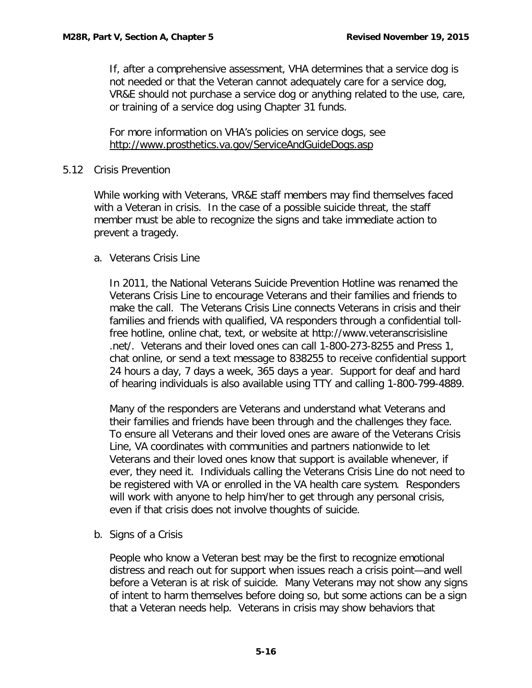If, after a comprehensive assessment, VHA determines that a service dog is not needed or that the Veteran cannot adequately care for a service dog, VR&E should not purchase a service dog or anything related to the use, care, or training of a service dog using Chapter 31 funds.

For more information on VHA's policies on service dogs, see <http://www.prosthetics.va.gov/ServiceAndGuideDogs.asp>

## <span id="page-17-0"></span>5.12 Crisis Prevention

While working with Veterans, VR&E staff members may find themselves faced with a Veteran in crisis. In the case of a possible suicide threat, the staff member must be able to recognize the signs and take immediate action to prevent a tragedy.

# <span id="page-17-1"></span>a. Veterans Crisis Line

In 2011, the National Veterans Suicide Prevention Hotline was renamed the Veterans Crisis Line to encourage Veterans and their families and friends to make the call. The Veterans Crisis Line connects Veterans in crisis and their families and friends with qualified, VA responders through a confidential tollfree hotline, online chat, text, or website at http://www.veteranscrisisline .net/. Veterans and their loved ones can call 1-800-273-8255 and Press 1, chat online, or send a text message to 838255 to receive confidential support 24 hours a day, 7 days a week, 365 days a year. Support for deaf and hard of hearing individuals is also available using TTY and calling 1-800-799-4889.

Many of the responders are Veterans and understand what Veterans and their families and friends have been through and the challenges they face. To ensure all Veterans and their loved ones are aware of the Veterans Crisis Line, VA coordinates with communities and partners nationwide to let Veterans and their loved ones know that support is available whenever, if ever, they need it. Individuals calling the Veterans Crisis Line do not need to be registered with VA or enrolled in the VA health care system. Responders will work with anyone to help him/her to get through any personal crisis, even if that crisis does not involve thoughts of suicide.

<span id="page-17-2"></span>b. Signs of a Crisis

People who know a Veteran best may be the first to recognize emotional distress and reach out for support when issues reach a crisis point—and well before a Veteran is at risk of suicide. Many Veterans may not show any signs of intent to harm themselves before doing so, but some actions can be a sign that a Veteran needs help. Veterans in crisis may show behaviors that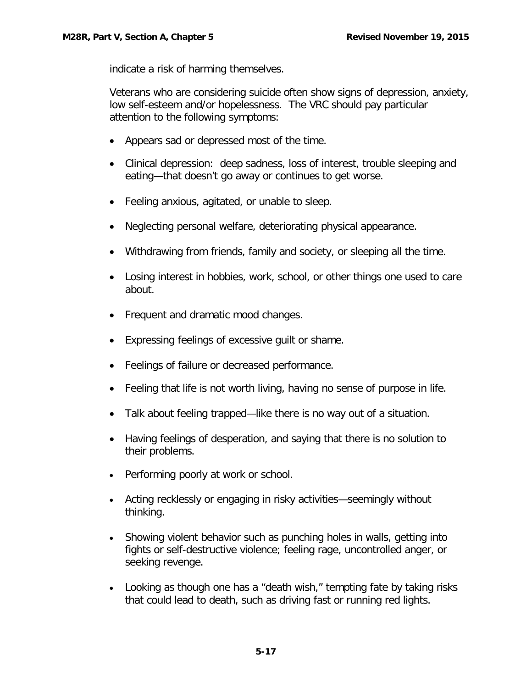indicate a risk of harming themselves.

Veterans who are considering suicide often show signs of depression, anxiety, low self-esteem and/or hopelessness. The VRC should pay particular attention to the following symptoms:

- Appears sad or depressed most of the time.
- Clinical depression: deep sadness, loss of interest, trouble sleeping and eating—that doesn't go away or continues to get worse.
- Feeling anxious, agitated, or unable to sleep.
- Neglecting personal welfare, deteriorating physical appearance.
- Withdrawing from friends, family and society, or sleeping all the time.
- Losing interest in hobbies, work, school, or other things one used to care about.
- Frequent and dramatic mood changes.
- Expressing feelings of excessive guilt or shame.
- Feelings of failure or decreased performance.
- Feeling that life is not worth living, having no sense of purpose in life.
- Talk about feeling trapped—like there is no way out of a situation.
- Having feelings of desperation, and saying that there is no solution to their problems.
- Performing poorly at work or school.
- Acting recklessly or engaging in risky activities—seemingly without thinking.
- Showing violent behavior such as punching holes in walls, getting into fights or self-destructive violence; feeling rage, uncontrolled anger, or seeking revenge.
- Looking as though one has a "death wish," tempting fate by taking risks that could lead to death, such as driving fast or running red lights.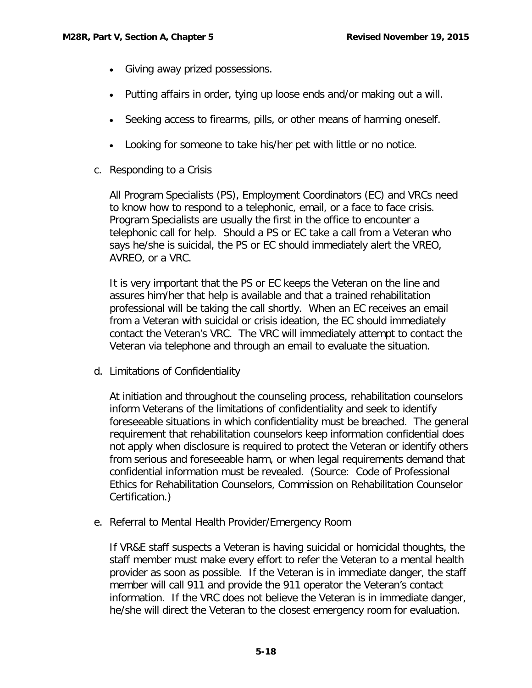- Giving away prized possessions.
- Putting affairs in order, tying up loose ends and/or making out a will.
- Seeking access to firearms, pills, or other means of harming oneself.
- Looking for someone to take his/her pet with little or no notice.
- <span id="page-19-0"></span>c. Responding to a Crisis

All Program Specialists (PS), Employment Coordinators (EC) and VRCs need to know how to respond to a telephonic, email, or a face to face crisis. Program Specialists are usually the first in the office to encounter a telephonic call for help. Should a PS or EC take a call from a Veteran who says he/she is suicidal, the PS or EC should immediately alert the VREO, AVREO, or a VRC.

It is very important that the PS or EC keeps the Veteran on the line and assures him/her that help is available and that a trained rehabilitation professional will be taking the call shortly. When an EC receives an email from a Veteran with suicidal or crisis ideation, the EC should immediately contact the Veteran's VRC. The VRC will immediately attempt to contact the Veteran via telephone and through an email to evaluate the situation.

<span id="page-19-1"></span>d. Limitations of Confidentiality

At initiation and throughout the counseling process, rehabilitation counselors inform Veterans of the limitations of confidentiality and seek to identify foreseeable situations in which confidentiality must be breached. The general requirement that rehabilitation counselors keep information confidential does not apply when disclosure is required to protect the Veteran or identify others from serious and foreseeable harm, or when legal requirements demand that confidential information must be revealed. (Source: Code of Professional Ethics for Rehabilitation Counselors, Commission on Rehabilitation Counselor Certification.)

<span id="page-19-2"></span>e. Referral to Mental Health Provider/Emergency Room

If VR&E staff suspects a Veteran is having suicidal or homicidal thoughts, the staff member must make every effort to refer the Veteran to a mental health provider as soon as possible. If the Veteran is in immediate danger, the staff member will call 911 and provide the 911 operator the Veteran's contact information. If the VRC does not believe the Veteran is in immediate danger, he/she will direct the Veteran to the closest emergency room for evaluation.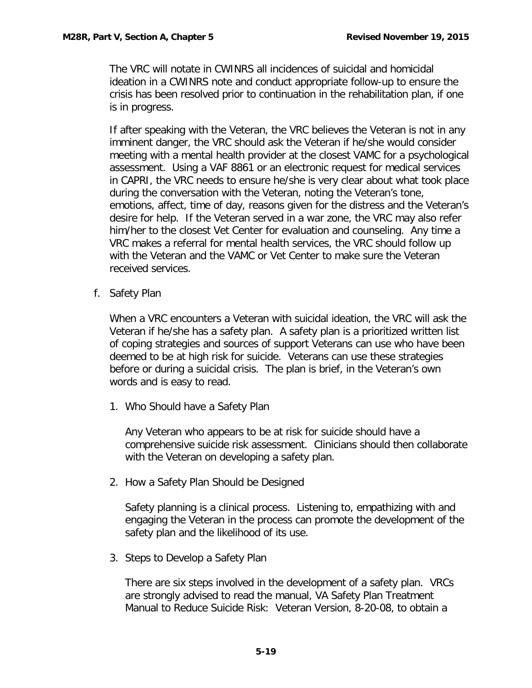The VRC will notate in CWINRS all incidences of suicidal and homicidal ideation in a CWINRS note and conduct appropriate follow-up to ensure the crisis has been resolved prior to continuation in the rehabilitation plan, if one is in progress.

If after speaking with the Veteran, the VRC believes the Veteran is not in any imminent danger, the VRC should ask the Veteran if he/she would consider meeting with a mental health provider at the closest VAMC for a psychological assessment. Using a VAF 8861 or an electronic request for medical services in CAPRI, the VRC needs to ensure he/she is very clear about what took place during the conversation with the Veteran, noting the Veteran's tone, emotions, affect, time of day, reasons given for the distress and the Veteran's desire for help. If the Veteran served in a war zone, the VRC may also refer him/her to the closest Vet Center for evaluation and counseling. Any time a VRC makes a referral for mental health services, the VRC should follow up with the Veteran and the VAMC or Vet Center to make sure the Veteran received services.

f. Safety Plan

When a VRC encounters a Veteran with suicidal ideation, the VRC will ask the Veteran if he/she has a safety plan. A safety plan is a prioritized written list of coping strategies and sources of support Veterans can use who have been deemed to be at high risk for suicide. Veterans can use these strategies before or during a suicidal crisis. The plan is brief, in the Veteran's own words and is easy to read.

1. Who Should have a Safety Plan

Any Veteran who appears to be at risk for suicide should have a comprehensive suicide risk assessment. Clinicians should then collaborate with the Veteran on developing a safety plan.

2. How a Safety Plan Should be Designed

Safety planning is a clinical process. Listening to, empathizing with and engaging the Veteran in the process can promote the development of the safety plan and the likelihood of its use.

3. Steps to Develop a Safety Plan

There are six steps involved in the development of a safety plan. VRCs are strongly advised to read the manual, VA Safety Plan Treatment Manual to Reduce Suicide Risk: Veteran Version, 8-20-08, to obtain a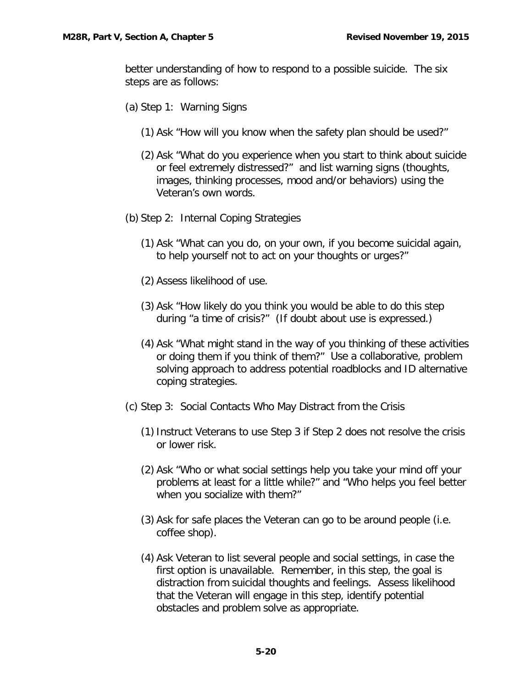better understanding of how to respond to a possible suicide. The six steps are as follows:

- (a) Step 1: Warning Signs
	- (1) Ask "How will you know when the safety plan should be used?"
	- (2) Ask "What do you experience when you start to think about suicide or feel extremely distressed?" and list warning signs (thoughts, images, thinking processes, mood and/or behaviors) using the Veteran's own words.
- (b) Step 2: Internal Coping Strategies
	- (1) Ask "What can you do, on your own, if you become suicidal again, to help yourself not to act on your thoughts or urges?"
	- (2) Assess likelihood of use.
	- (3) Ask "How likely do you think you would be able to do this step during "a time of crisis?" (If doubt about use is expressed.)
	- (4) Ask "What might stand in the way of you thinking of these activities or doing them if you think of them?" Use a collaborative, problem solving approach to address potential roadblocks and ID alternative coping strategies.
- (c) Step 3: Social Contacts Who May Distract from the Crisis
	- (1)Instruct Veterans to use Step 3 if Step 2 does not resolve the crisis or lower risk.
	- (2) Ask "Who or what social settings help you take your mind off your problems at least for a little while?" and "Who helps you feel better when you socialize with them?"
	- (3) Ask for safe places the Veteran can go to be around people (i.e. coffee shop).
	- (4) Ask Veteran to list several people and social settings, in case the first option is unavailable. Remember, in this step, the goal is distraction from suicidal thoughts and feelings. Assess likelihood that the Veteran will engage in this step, identify potential obstacles and problem solve as appropriate.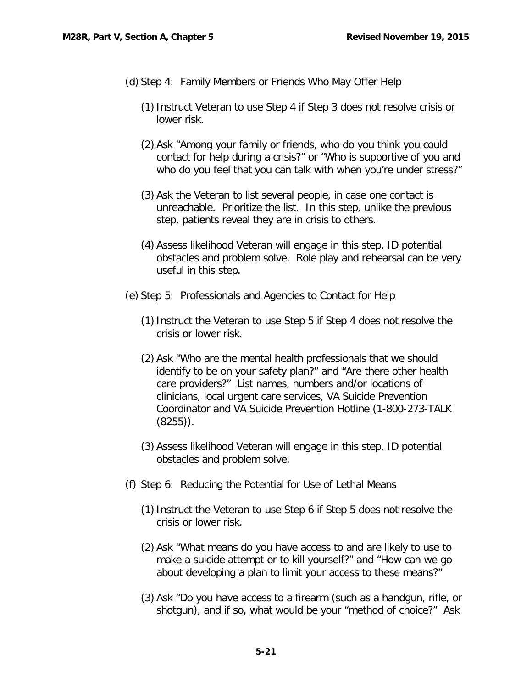- (d) Step 4: Family Members or Friends Who May Offer Help
	- (1)Instruct Veteran to use Step 4 if Step 3 does not resolve crisis or lower risk.
	- (2) Ask "Among your family or friends, who do you think you could contact for help during a crisis?" or "Who is supportive of you and who do you feel that you can talk with when you're under stress?"
	- (3) Ask the Veteran to list several people, in case one contact is unreachable. Prioritize the list. In this step, unlike the previous step, patients reveal they are in crisis to others.
	- (4) Assess likelihood Veteran will engage in this step, ID potential obstacles and problem solve. Role play and rehearsal can be very useful in this step.
- (e) Step 5: Professionals and Agencies to Contact for Help
	- (1)Instruct the Veteran to use Step 5 if Step 4 does not resolve the crisis or lower risk.
	- (2) Ask "Who are the mental health professionals that we should identify to be on your safety plan?" and "Are there other health care providers?" List names, numbers and/or locations of clinicians, local urgent care services, VA Suicide Prevention Coordinator and VA Suicide Prevention Hotline (1-800-273-TALK (8255)).
	- (3) Assess likelihood Veteran will engage in this step, ID potential obstacles and problem solve.
- (f) Step 6: Reducing the Potential for Use of Lethal Means
	- (1)Instruct the Veteran to use Step 6 if Step 5 does not resolve the crisis or lower risk.
	- (2) Ask "What means do you have access to and are likely to use to make a suicide attempt or to kill yourself?" and "How can we go about developing a plan to limit your access to these means?"
	- (3) Ask "Do you have access to a firearm (such as a handgun, rifle, or shotgun), and if so, what would be your "method of choice?" Ask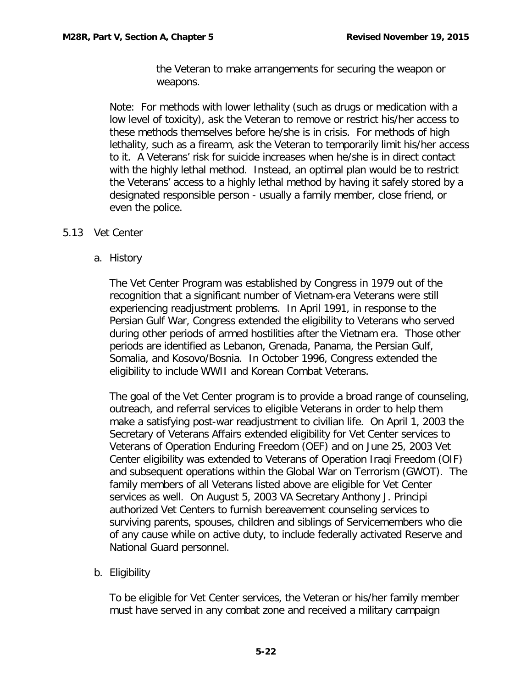the Veteran to make arrangements for securing the weapon or weapons.

Note: For methods with lower lethality (such as drugs or medication with a low level of toxicity), ask the Veteran to remove or restrict his/her access to these methods themselves before he/she is in crisis. For methods of high lethality, such as a firearm, ask the Veteran to temporarily limit his/her access to it. A Veterans' risk for suicide increases when he/she is in direct contact with the highly lethal method. Instead, an optimal plan would be to restrict the Veterans' access to a highly lethal method by having it safely stored by a designated responsible person - usually a family member, close friend, or even the police.

## <span id="page-23-1"></span><span id="page-23-0"></span>5.13 Vet Center

a. History

The Vet Center Program was established by Congress in 1979 out of the recognition that a significant number of Vietnam-era Veterans were still experiencing readjustment problems. In April 1991, in response to the Persian Gulf War, Congress extended the eligibility to Veterans who served during other periods of armed hostilities after the Vietnam era. Those other periods are identified as Lebanon, Grenada, Panama, the Persian Gulf, Somalia, and Kosovo/Bosnia. In October 1996, Congress extended the eligibility to include WWII and Korean Combat Veterans.

The goal of the Vet Center program is to provide a broad range of counseling, outreach, and referral services to eligible Veterans in order to help them make a satisfying post-war readjustment to civilian life. On April 1, 2003 the Secretary of Veterans Affairs extended eligibility for Vet Center services to Veterans of Operation Enduring Freedom (OEF) and on June 25, 2003 Vet Center eligibility was extended to Veterans of Operation Iraqi Freedom (OIF) and subsequent operations within the Global War on Terrorism (GWOT). The family members of all Veterans listed above are eligible for Vet Center services as well. On August 5, 2003 VA Secretary Anthony J. Principi authorized Vet Centers to furnish bereavement counseling services to surviving parents, spouses, children and siblings of Servicemembers who die of any cause while on active duty, to include federally activated Reserve and National Guard personnel.

<span id="page-23-2"></span>b. Eligibility

To be eligible for Vet Center services, the Veteran or his/her family member must have served in any combat zone and received a military campaign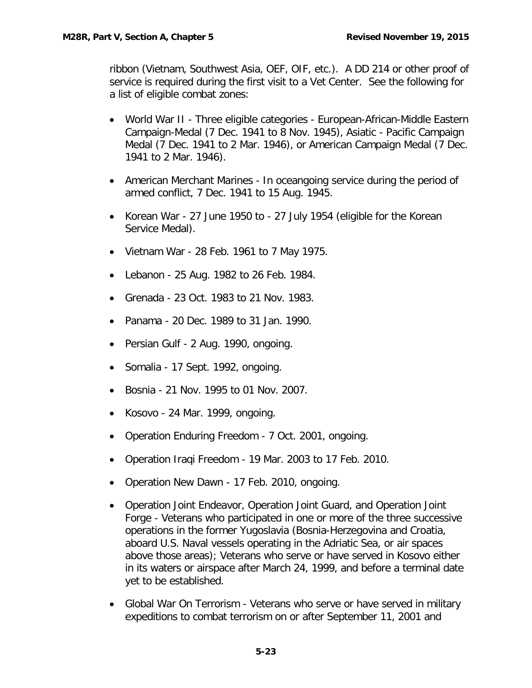ribbon (Vietnam, Southwest Asia, OEF, OIF, etc.). A DD 214 or other proof of service is required during the first visit to a Vet Center. See the following for a list of eligible combat zones:

- World War II Three eligible categories European-African-Middle Eastern Campaign-Medal (7 Dec. 1941 to 8 Nov. 1945), Asiatic - Pacific Campaign Medal (7 Dec. 1941 to 2 Mar. 1946), or American Campaign Medal (7 Dec. 1941 to 2 Mar. 1946).
- American Merchant Marines In oceangoing service during the period of armed conflict, 7 Dec. 1941 to 15 Aug. 1945.
- Korean War 27 June 1950 to 27 July 1954 (eligible for the Korean Service Medal).
- Vietnam War 28 Feb. 1961 to 7 May 1975.
- Lebanon 25 Aug. 1982 to 26 Feb. 1984.
- Grenada 23 Oct. 1983 to 21 Nov. 1983.
- Panama 20 Dec. 1989 to 31 Jan. 1990.
- Persian Gulf 2 Aug. 1990, ongoing.
- Somalia 17 Sept. 1992, ongoing.
- Bosnia 21 Nov. 1995 to 01 Nov. 2007.
- Kosovo 24 Mar. 1999, ongoing.
- Operation Enduring Freedom 7 Oct. 2001, ongoing.
- Operation Iraqi Freedom 19 Mar. 2003 to 17 Feb. 2010.
- Operation New Dawn 17 Feb. 2010, ongoing.
- Operation Joint Endeavor, Operation Joint Guard, and Operation Joint Forge - Veterans who participated in one or more of the three successive operations in the former Yugoslavia (Bosnia-Herzegovina and Croatia, aboard U.S. Naval vessels operating in the Adriatic Sea, or air spaces above those areas); Veterans who serve or have served in Kosovo either in its waters or airspace after March 24, 1999, and before a terminal date yet to be established.
- Global War On Terrorism Veterans who serve or have served in military expeditions to combat terrorism on or after September 11, 2001 and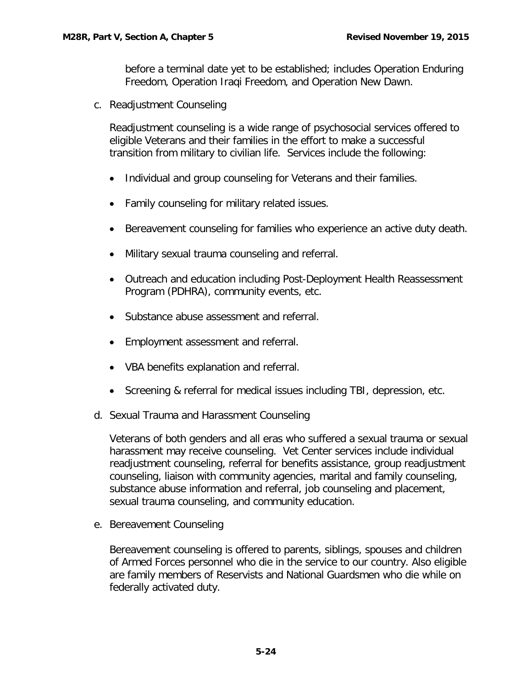before a terminal date yet to be established; includes Operation Enduring Freedom, Operation Iraqi Freedom, and Operation New Dawn.

<span id="page-25-0"></span>c. Readjustment Counseling

Readjustment counseling is a wide range of psychosocial services offered to eligible Veterans and their families in the effort to make a successful transition from military to civilian life. Services include the following:

- Individual and group counseling for Veterans and their families.
- Family counseling for military related issues.
- Bereavement counseling for families who experience an active duty death.
- Military sexual trauma counseling and referral.
- Outreach and education including Post-Deployment Health Reassessment Program (PDHRA), community events, etc.
- Substance abuse assessment and referral.
- Employment assessment and referral.
- VBA benefits explanation and referral.
- Screening & referral for medical issues including TBI, depression, etc.
- <span id="page-25-1"></span>d. Sexual Trauma and Harassment Counseling

Veterans of both genders and all eras who suffered a sexual trauma or sexual harassment may receive counseling. Vet Center services include individual readjustment counseling, referral for benefits assistance, group readjustment counseling, liaison with community agencies, marital and family counseling, substance abuse information and referral, job counseling and placement, sexual trauma counseling, and community education.

<span id="page-25-2"></span>e. Bereavement Counseling

Bereavement counseling is offered to parents, siblings, spouses and children of Armed Forces personnel who die in the service to our country. Also eligible are family members of Reservists and National Guardsmen who die while on federally activated duty.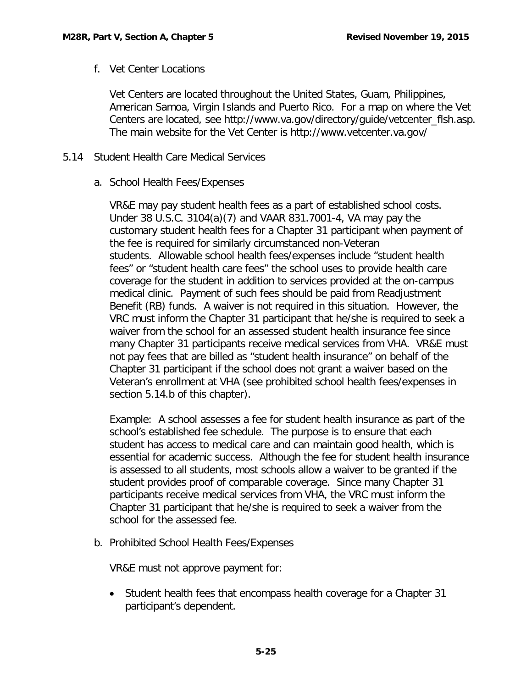f. Vet Center Locations

Vet Centers are located throughout the United States, Guam, Philippines, American Samoa, Virgin Islands and Puerto Rico. For a map on where the Vet Centers are located, see http://www.va.gov/directory/guide/vetcenter\_flsh.asp. The main website for the Vet Center is http://www.vetcenter.va.gov/

# <span id="page-26-1"></span><span id="page-26-0"></span>5.14 Student Health Care Medical Services

a. School Health Fees/Expenses

VR&E may pay student health fees as a part of established school costs. Under 38 U.S.C. 3104(a)(7) and VAAR 831.7001-4, VA may pay the customary student health fees for a Chapter 31 participant when payment of the fee is required for similarly circumstanced non-Veteran students. Allowable school health fees/expenses include "student health fees" or "student health care fees" the school uses to provide health care coverage for the student in addition to services provided at the on-campus medical clinic. Payment of such fees should be paid from Readjustment Benefit (RB) funds. A waiver is not required in this situation. However, the VRC must inform the Chapter 31 participant that he/she is required to seek a waiver from the school for an assessed student health insurance fee since many Chapter 31 participants receive medical services from VHA. VR&E must not pay fees that are billed as "student health insurance" on behalf of the Chapter 31 participant if the school does not grant a waiver based on the Veteran's enrollment at VHA (see prohibited school health fees/expenses in section 5.14.b of this chapter).

Example: A school assesses a fee for student health insurance as part of the school's established fee schedule. The purpose is to ensure that each student has access to medical care and can maintain good health, which is essential for academic success. Although the fee for student health insurance is assessed to all students, most schools allow a waiver to be granted if the student provides proof of comparable coverage. Since many Chapter 31 participants receive medical services from VHA, the VRC must inform the Chapter 31 participant that he/she is required to seek a waiver from the school for the assessed fee.

<span id="page-26-2"></span>b. Prohibited School Health Fees/Expenses

VR&E must not approve payment for:

• Student health fees that encompass health coverage for a Chapter 31 participant's dependent.